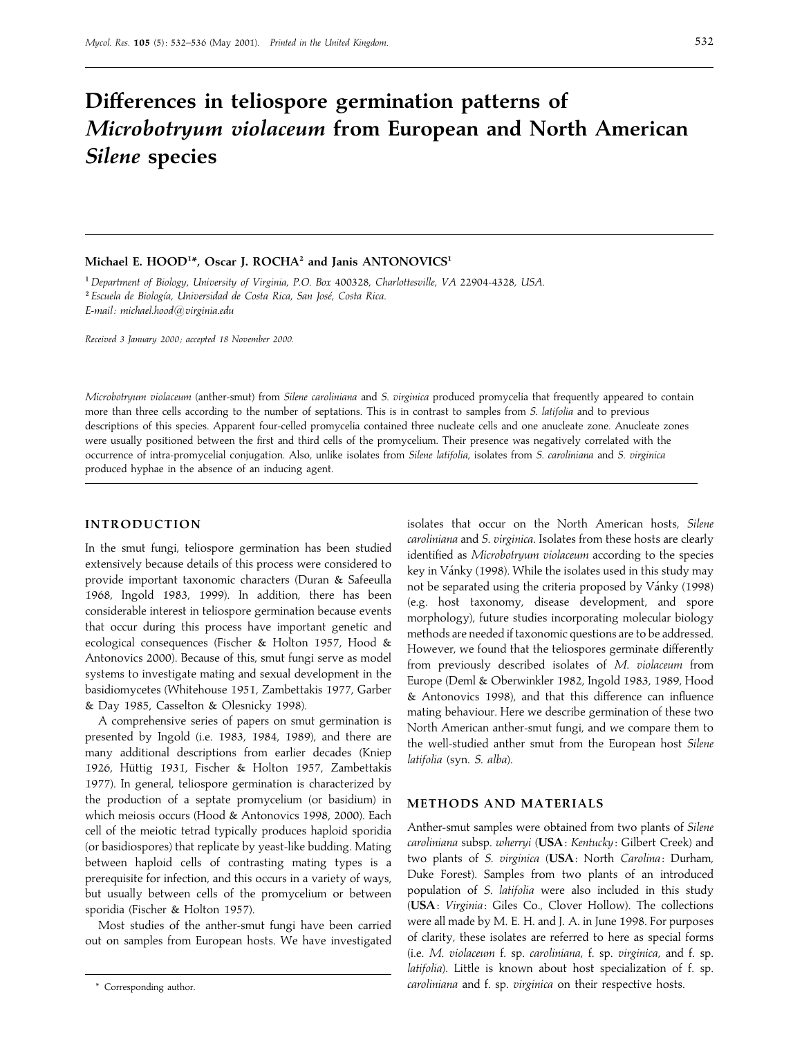# **Differences in teliospore germination patterns of** *Microbotryum violaceum* **from European and North American** *Silene* **species**

#### **Michael E. HOOD1 \*, Oscar J. ROCHA2 and Janis ANTONOVICS1**

"*Department of Biology*, *University of Virginia*, *<sup>P</sup>*.*O*. *Box* 400328, *Charlottesville*, *VA* 22904-4328, *USA*. # $^2$  Escuela de Biología, *Universidad de Costa Rica*, *San José*, *Costa Rica*. *E*-*mail: michael*.*hood*!*virginia*.*edu*

*Received 3 January 2000 ; accepted 18 November 2000.*

*Microbotryum violaceum* (anther-smut) from *Silene caroliniana* and *S*. *virginica* produced promycelia that frequently appeared to contain more than three cells according to the number of septations. This is in contrast to samples from *S*. *latifolia* and to previous descriptions of this species. Apparent four-celled promycelia contained three nucleate cells and one anucleate zone. Anucleate zones were usually positioned between the first and third cells of the promycelium. Their presence was negatively correlated with the occurrence of intra-promycelial conjugation. Also, unlike isolates from *Silene latifolia*, isolates from *S*. *caroliniana* and *S*. *virginica* produced hyphae in the absence of an inducing agent.

### **INTRODUCTION**

In the smut fungi, teliospore germination has been studied extensively because details of this process were considered to provide important taxonomic characters (Duran & Safeeulla 1968, Ingold 1983, 1999). In addition, there has been considerable interest in teliospore germination because events that occur during this process have important genetic and ecological consequences (Fischer & Holton 1957, Hood & Antonovics 2000). Because of this, smut fungi serve as model systems to investigate mating and sexual development in the basidiomycetes (Whitehouse 1951, Zambettakis 1977, Garber & Day 1985, Casselton & Olesnicky 1998).

A comprehensive series of papers on smut germination is presented by Ingold (i.e. 1983, 1984, 1989), and there are many additional descriptions from earlier decades (Kniep 1926, Hüttig 1931, Fischer & Holton 1957, Zambettakis 1977). In general, teliospore germination is characterized by the production of a septate promycelium (or basidium) in which meiosis occurs (Hood & Antonovics 1998, 2000). Each cell of the meiotic tetrad typically produces haploid sporidia (or basidiospores) that replicate by yeast-like budding. Mating between haploid cells of contrasting mating types is a prerequisite for infection, and this occurs in a variety of ways, but usually between cells of the promycelium or between sporidia (Fischer & Holton 1957).

Most studies of the anther-smut fungi have been carried out on samples from European hosts. We have investigated

isolates that occur on the North American hosts, *Silene caroliniana* and *S*. *virginica*. Isolates from these hosts are clearly identified as *Microbotryum violaceum* according to the species key in Vánky (1998). While the isolates used in this study may not be separated using the criteria proposed by Vánky (1998) (e.g. host taxonomy, disease development, and spore morphology), future studies incorporating molecular biology methods are needed if taxonomic questions are to be addressed. However, we found that the teliospores germinate differently from previously described isolates of *M*. *violaceum* from Europe (Deml & Oberwinkler 1982, Ingold 1983, 1989, Hood & Antonovics 1998), and that this difference can influence mating behaviour. Here we describe germination of these two North American anther-smut fungi, and we compare them to the well-studied anther smut from the European host *Silene latifolia* (syn. *S*. *alba*).

#### **METHODS AND MATERIALS**

Anther-smut samples were obtained from two plants of *Silene caroliniana* subsp. *wherryi* (**USA**: *Kentucky*: Gilbert Creek) and two plants of *S*. *virginica* (**USA**: North *Carolina* : Durham, Duke Forest). Samples from two plants of an introduced population of *S*. *latifolia* were also included in this study (**USA**: *Virginia*: Giles Co., Clover Hollow). The collections were all made by M. E. H. and J. A. in June 1998. For purposes of clarity, these isolates are referred to here as special forms (i.e. *M*. *violaceum* f. sp. *caroliniana*, f. sp. *virginica*, and f. sp. *latifolia*). Little is known about host specialization of f. sp. *caroliniana* and f. sp. *virginica* on their respective hosts.

<sup>\*</sup> Corresponding author.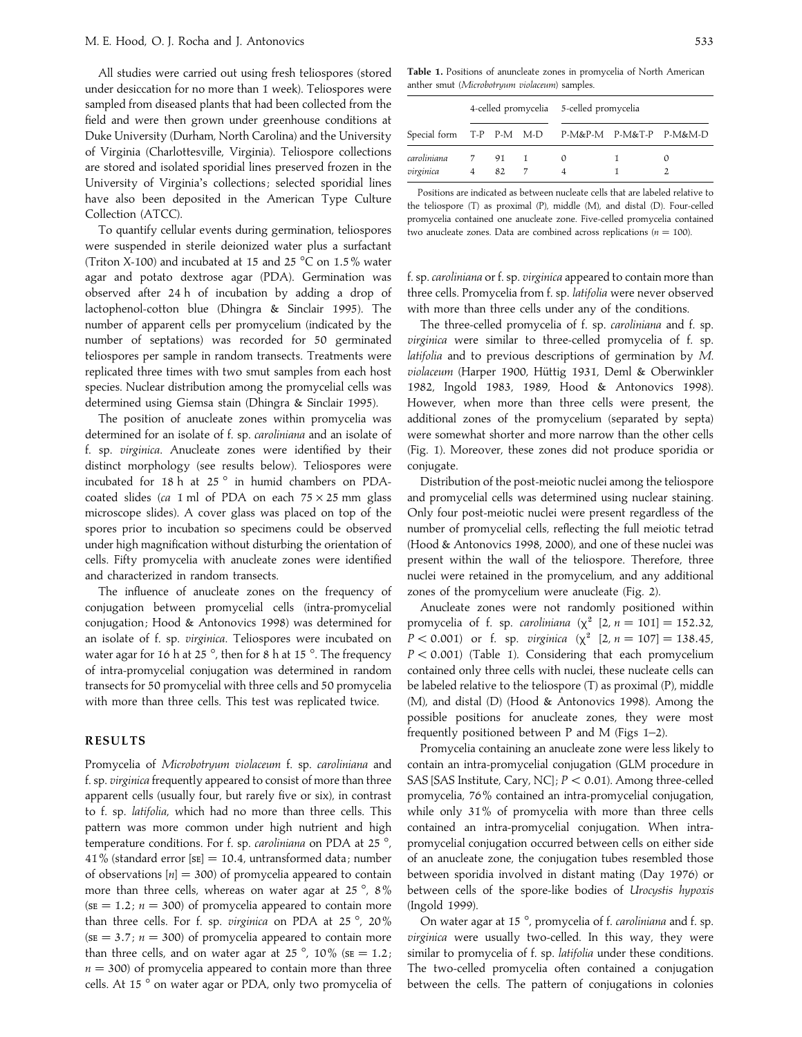All studies were carried out using fresh teliospores (stored under desiccation for no more than 1 week). Teliospores were sampled from diseased plants that had been collected from the field and were then grown under greenhouse conditions at Duke University (Durham, North Carolina) and the University of Virginia (Charlottesville, Virginia). Teliospore collections are stored and isolated sporidial lines preserved frozen in the University of Virginia's collections; selected sporidial lines have also been deposited in the American Type Culture Collection (ATCC).

To quantify cellular events during germination, teliospores were suspended in sterile deionized water plus a surfactant (Triton X-100) and incubated at 15 and 25  $^{\circ}$ C on 1.5% water agar and potato dextrose agar (PDA). Germination was observed after 24 h of incubation by adding a drop of lactophenol-cotton blue (Dhingra & Sinclair 1995). The number of apparent cells per promycelium (indicated by the number of septations) was recorded for 50 germinated teliospores per sample in random transects. Treatments were replicated three times with two smut samples from each host species. Nuclear distribution among the promycelial cells was determined using Giemsa stain (Dhingra & Sinclair 1995).

The position of anucleate zones within promycelia was determined for an isolate of f. sp. *caroliniana* and an isolate of f. sp. *virginica*. Anucleate zones were identified by their distinct morphology (see results below). Teliospores were incubated for 18 h at 25 ° in humid chambers on PDAcoated slides ( $ca$  1 ml of PDA on each  $75 \times 25$  mm glass microscope slides). A cover glass was placed on top of the spores prior to incubation so specimens could be observed under high magnification without disturbing the orientation of cells. Fifty promycelia with anucleate zones were identified and characterized in random transects.

The influence of anucleate zones on the frequency of conjugation between promycelial cells (intra-promycelial conjugation; Hood & Antonovics 1998) was determined for an isolate of f. sp. *virginica*. Teliospores were incubated on water agar for 16 h at 25 $^{\circ}$ , then for 8 h at 15 $^{\circ}$ . The frequency of intra-promycelial conjugation was determined in random transects for 50 promycelial with three cells and 50 promycelia with more than three cells. This test was replicated twice.

#### **RESULTS**

Promycelia of *Microbotryum violaceum* f. sp. *caroliniana* and f. sp. *virginica* frequently appeared to consist of more than three apparent cells (usually four, but rarely five or six), in contrast to f. sp. *latifolia*, which had no more than three cells. This pattern was more common under high nutrient and high temperature conditions. For f. sp. *caroliniana* on PDA at 25 °, 41% (standard error  $[sE] = 10.4$ , untransformed data; number of observations  $[n] = 300$ ) of promycelia appeared to contain more than three cells, whereas on water agar at 25 $^{\circ}$ , 8%  $(SE = 1.2; n = 300)$  of promycelia appeared to contain more than three cells. For f. sp. *virginica* on PDA at 25 °, 20%  $(SE = 3.7; n = 300)$  of promycelia appeared to contain more than three cells, and on water agar at 25°, 10% ( $SE = 1.2$ ;  $n = 300$ ) of promycelia appeared to contain more than three cells. At 15 ° on water agar or PDA, only two promycelia of

| Special form T-P P-M M-D P-M&P-M P-M&T-P P-M&M-D | 4-celled promycelia 5-celled promycelia |        |  |  |  |  |
|--------------------------------------------------|-----------------------------------------|--------|--|--|--|--|
|                                                  |                                         |        |  |  |  |  |
| caroliniana                                      |                                         | 7 91 1 |  |  |  |  |
| virginica                                        | 4                                       | 82     |  |  |  |  |

Positions are indicated as between nucleate cells that are labeled relative to the teliospore (T) as proximal (P), middle (M), and distal (D). Four-celled promycelia contained one anucleate zone. Five-celled promycelia contained two anucleate zones. Data are combined across replications ( $n = 100$ ).

f. sp. *caroliniana* or f. sp. *virginica* appeared to contain more than three cells. Promycelia from f. sp. *latifolia* were never observed with more than three cells under any of the conditions.

The three-celled promycelia of f. sp. *caroliniana* and f. sp. *virginica* were similar to three-celled promycelia of f. sp. *latifolia* and to previous descriptions of germination by *M*. violaceum (Harper 1900, Hüttig 1931, Deml & Oberwinkler 1982, Ingold 1983, 1989, Hood & Antonovics 1998). However, when more than three cells were present, the additional zones of the promycelium (separated by septa) were somewhat shorter and more narrow than the other cells (Fig. 1). Moreover, these zones did not produce sporidia or conjugate.

Distribution of the post-meiotic nuclei among the teliospore and promycelial cells was determined using nuclear staining. Only four post-meiotic nuclei were present regardless of the number of promycelial cells, reflecting the full meiotic tetrad (Hood & Antonovics 1998, 2000), and one of these nuclei was present within the wall of the teliospore. Therefore, three nuclei were retained in the promycelium, and any additional zones of the promycelium were anucleate (Fig. 2).

Anucleate zones were not randomly positioned within promycelia of f. sp. *caroliniana* ( $\chi^2$  [2,  $n = 101$ ] = 152.32, *P* < 0.001) or f. sp. *virginica* ( $\chi^2$  [2, *n* = 107] = 138.45, *P* < 0.001) (Table 1). Considering that each promycelium contained only three cells with nuclei, these nucleate cells can be labeled relative to the teliospore (T) as proximal (P), middle (M), and distal (D) (Hood & Antonovics 1998). Among the possible positions for anucleate zones, they were most frequently positioned between P and M (Figs 1–2).

Promycelia containing an anucleate zone were less likely to contain an intra-promycelial conjugation (GLM procedure in SAS [SAS Institute, Cary, NC];  $P < 0.01$ ). Among three-celled promycelia, 76% contained an intra-promycelial conjugation, while only 31% of promycelia with more than three cells contained an intra-promycelial conjugation. When intrapromycelial conjugation occurred between cells on either side of an anucleate zone, the conjugation tubes resembled those between sporidia involved in distant mating (Day 1976) or between cells of the spore-like bodies of *Urocystis hypoxis* (Ingold 1999).

On water agar at 15 °, promycelia of f. *caroliniana* and f. sp. *virginica* were usually two-celled. In this way, they were similar to promycelia of f. sp. *latifolia* under these conditions. The two-celled promycelia often contained a conjugation between the cells. The pattern of conjugations in colonies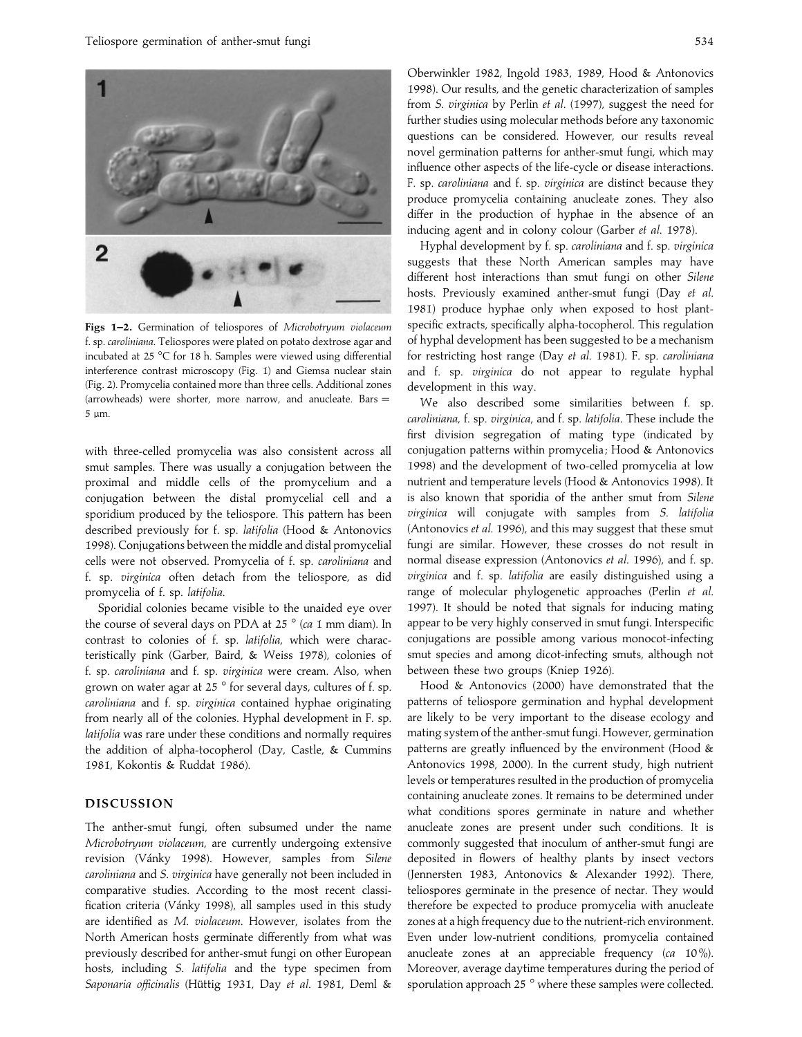

**Figs 1–2.** Germination of teliospores of *Microbotryum violaceum* f. sp. *caroliniana*. Teliospores were plated on potato dextrose agar and incubated at 25 °C for 18 h. Samples were viewed using differential interference contrast microscopy (Fig. 1) and Giemsa nuclear stain (Fig. 2). Promycelia contained more than three cells. Additional zones (arrowheads) were shorter, more narrow, and anucleate. Bars  $=$ 5 µm.

with three-celled promycelia was also consistent across all smut samples. There was usually a conjugation between the proximal and middle cells of the promycelium and a conjugation between the distal promycelial cell and a sporidium produced by the teliospore. This pattern has been described previously for f. sp. *latifolia* (Hood & Antonovics 1998). Conjugations between the middle and distal promycelial cells were not observed. Promycelia of f. sp. *caroliniana* and f. sp. *virginica* often detach from the teliospore, as did promycelia of f. sp. *latifolia*.

Sporidial colonies became visible to the unaided eye over the course of several days on PDA at 25 ° (*ca* 1 mm diam). In contrast to colonies of f. sp. *latifolia*, which were characteristically pink (Garber, Baird, & Weiss 1978), colonies of f. sp. *caroliniana* and f. sp. *virginica* were cream. Also, when grown on water agar at 25 ° for several days, cultures of f. sp. *caroliniana* and f. sp. *virginica* contained hyphae originating from nearly all of the colonies. Hyphal development in F. sp. *latifolia* was rare under these conditions and normally requires the addition of alpha-tocopherol (Day, Castle, & Cummins 1981, Kokontis & Ruddat 1986).

#### **DISCUSSION**

The anther-smut fungi, often subsumed under the name *Microbotryum violaceum*, are currently undergoing extensive revision (Vánky 1998). However, samples from Silene *caroliniana* and *S*. *virginica* have generally not been included in comparative studies. According to the most recent classification criteria (Vánky 1998), all samples used in this study are identified as *M*. *violaceum*. However, isolates from the North American hosts germinate differently from what was previously described for anther-smut fungi on other European hosts, including *S*. *latifolia* and the type specimen from Saponaria officinalis (Hüttig 1931, Day et al. 1981, Deml &

Oberwinkler 1982, Ingold 1983, 1989, Hood & Antonovics 1998). Our results, and the genetic characterization of samples from *S*. *virginica* by Perlin *et al*. (1997), suggest the need for further studies using molecular methods before any taxonomic questions can be considered. However, our results reveal novel germination patterns for anther-smut fungi, which may influence other aspects of the life-cycle or disease interactions. F. sp. *caroliniana* and f. sp. *virginica* are distinct because they produce promycelia containing anucleate zones. They also differ in the production of hyphae in the absence of an inducing agent and in colony colour (Garber *et al*. 1978).

Hyphal development by f. sp. *caroliniana* and f. sp. *virginica* suggests that these North American samples may have different host interactions than smut fungi on other *Silene* hosts. Previously examined anther-smut fungi (Day *et al*. 1981) produce hyphae only when exposed to host plantspecific extracts, specifically alpha-tocopherol. This regulation of hyphal development has been suggested to be a mechanism for restricting host range (Day *et al*. 1981). F. sp. *caroliniana* and f. sp. *virginica* do not appear to regulate hyphal development in this way.

We also described some similarities between f. sp. *caroliniana*, f. sp. *virginica*, and f. sp. *latifolia*. These include the first division segregation of mating type (indicated by conjugation patterns within promycelia ; Hood & Antonovics 1998) and the development of two-celled promycelia at low nutrient and temperature levels (Hood & Antonovics 1998). It is also known that sporidia of the anther smut from *Silene virginica* will conjugate with samples from *S*. *latifolia* (Antonovics *et al*. 1996), and this may suggest that these smut fungi are similar. However, these crosses do not result in normal disease expression (Antonovics *et al*. 1996), and f. sp. *virginica* and f. sp. *latifolia* are easily distinguished using a range of molecular phylogenetic approaches (Perlin *et al*. 1997). It should be noted that signals for inducing mating appear to be very highly conserved in smut fungi. Interspecific conjugations are possible among various monocot-infecting smut species and among dicot-infecting smuts, although not between these two groups (Kniep 1926).

Hood & Antonovics (2000) have demonstrated that the patterns of teliospore germination and hyphal development are likely to be very important to the disease ecology and mating system of the anther-smut fungi. However, germination patterns are greatly influenced by the environment (Hood & Antonovics 1998, 2000). In the current study, high nutrient levels or temperatures resulted in the production of promycelia containing anucleate zones. It remains to be determined under what conditions spores germinate in nature and whether anucleate zones are present under such conditions. It is commonly suggested that inoculum of anther-smut fungi are deposited in flowers of healthy plants by insect vectors (Jennersten 1983, Antonovics & Alexander 1992). There, teliospores germinate in the presence of nectar. They would therefore be expected to produce promycelia with anucleate zones at a high frequency due to the nutrient-rich environment. Even under low-nutrient conditions, promycelia contained anucleate zones at an appreciable frequency (*ca* 10%). Moreover, average daytime temperatures during the period of sporulation approach 25 ° where these samples were collected.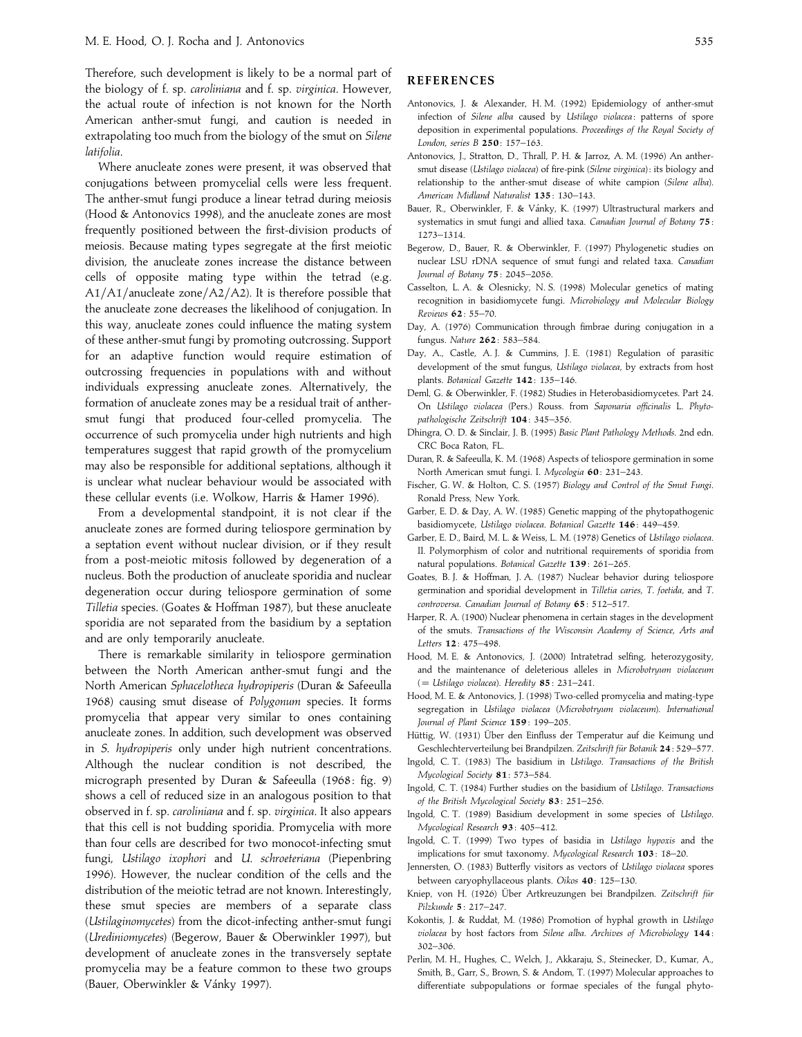Therefore, such development is likely to be a normal part of the biology of f. sp. *caroliniana* and f. sp. *virginica*. However, the actual route of infection is not known for the North American anther-smut fungi, and caution is needed in extrapolating too much from the biology of the smut on *Silene latifolia*.

Where anucleate zones were present, it was observed that conjugations between promycelial cells were less frequent. The anther-smut fungi produce a linear tetrad during meiosis (Hood & Antonovics 1998), and the anucleate zones are most frequently positioned between the first-division products of meiosis. Because mating types segregate at the first meiotic division, the anucleate zones increase the distance between cells of opposite mating type within the tetrad (e.g.  $A1/A1/$ anucleate zone $/A2/A2$ ). It is therefore possible that the anucleate zone decreases the likelihood of conjugation. In this way, anucleate zones could influence the mating system of these anther-smut fungi by promoting outcrossing. Support for an adaptive function would require estimation of outcrossing frequencies in populations with and without individuals expressing anucleate zones. Alternatively, the formation of anucleate zones may be a residual trait of anthersmut fungi that produced four-celled promycelia. The occurrence of such promycelia under high nutrients and high temperatures suggest that rapid growth of the promycelium may also be responsible for additional septations, although it is unclear what nuclear behaviour would be associated with these cellular events (i.e. Wolkow, Harris & Hamer 1996).

From a developmental standpoint, it is not clear if the anucleate zones are formed during teliospore germination by a septation event without nuclear division, or if they result from a post-meiotic mitosis followed by degeneration of a nucleus. Both the production of anucleate sporidia and nuclear degeneration occur during teliospore germination of some *Tilletia* species. (Goates & Hoffman 1987), but these anucleate sporidia are not separated from the basidium by a septation and are only temporarily anucleate.

There is remarkable similarity in teliospore germination between the North American anther-smut fungi and the North American *Sphacelotheca hydropiperis* (Duran & Safeeulla 1968) causing smut disease of *Polygonum* species. It forms promycelia that appear very similar to ones containing anucleate zones. In addition, such development was observed in *S*. *hydropiperis* only under high nutrient concentrations. Although the nuclear condition is not described, the micrograph presented by Duran & Safeeulla (1968: fig. 9) shows a cell of reduced size in an analogous position to that observed in f. sp. *caroliniana* and f. sp. *virginica*. It also appears that this cell is not budding sporidia. Promycelia with more than four cells are described for two monocot-infecting smut fungi, *Ustilago ixophori* and *U*. *schroeteriana* (Piepenbring 1996). However, the nuclear condition of the cells and the distribution of the meiotic tetrad are not known. Interestingly, these smut species are members of a separate class (*Ustilaginomycetes*) from the dicot-infecting anther-smut fungi (*Urediniomycetes*) (Begerow, Bauer & Oberwinkler 1997), but development of anucleate zones in the transversely septate promycelia may be a feature common to these two groups (Bauer, Oberwinkler & Vánky 1997).

## **REFERENCES**

- Antonovics, J. & Alexander, H. M. (1992) Epidemiology of anther-smut infection of *Silene alba* caused by *Ustilago violacea* : patterns of spore deposition in experimental populations. *Proceedings of the Royal Society of London*, *series B* **250**: 157–163.
- Antonovics, J., Stratton, D., Thrall, P. H. & Jarroz, A. M. (1996) An anthersmut disease (*Ustilago violacea*) of fire-pink (*Silene virginica*) : its biology and relationship to the anther-smut disease of white campion (*Silene alba*). *American Midland Naturalist* **135**: 130–143.
- Bauer, R., Oberwinkler, F. & Vánky, K. (1997) Ultrastructural markers and systematics in smut fungi and allied taxa. *Canadian Journal of Botany* **75**: 1273–1314.
- Begerow, D., Bauer, R. & Oberwinkler, F. (1997) Phylogenetic studies on nuclear LSU rDNA sequence of smut fungi and related taxa. *Canadian Journal of Botany* **75**: 2045–2056.
- Casselton, L. A. & Olesnicky, N. S. (1998) Molecular genetics of mating recognition in basidiomycete fungi. *Microbiology and Molecular Biology Reviews* **62**: 55–70.
- Day, A. (1976) Communication through fimbrae during conjugation in a fungus. *Nature* **262**: 583–584.
- Day, A., Castle, A. J. & Cummins, J. E. (1981) Regulation of parasitic development of the smut fungus, *Ustilago violacea*, by extracts from host plants. *Botanical Gazette* **142**: 135–146.
- Deml, G. & Oberwinkler, F. (1982) Studies in Heterobasidiomycetes. Part 24. On *Ustilago violacea* (Pers.) Rouss. from *Saponaria officinalis* L. *Phytopathologische Zeitschrift* **104**: 345–356.
- Dhingra, O. D. & Sinclair, J. B. (1995) *Basic Plant Pathology Methods*. 2nd edn. CRC Boca Raton, FL.
- Duran, R. & Safeeulla, K. M. (1968) Aspects of teliospore germination in some North American smut fungi. I. *Mycologia* **60**: 231–243.
- Fischer, G. W. & Holton, C. S. (1957) *Biology and Control of the Smut Fungi*. Ronald Press, New York.
- Garber, E. D. & Day, A. W. (1985) Genetic mapping of the phytopathogenic basidiomycete, *Ustilago violacea*. *Botanical Gazette* **146**: 449–459.
- Garber, E. D., Baird, M. L. & Weiss, L. M. (1978) Genetics of *Ustilago violacea*. II. Polymorphism of color and nutritional requirements of sporidia from natural populations. *Botanical Gazette* **139**: 261–265.
- Goates, B. J. & Hoffman, J. A. (1987) Nuclear behavior during teliospore germination and sporidial development in *Tilletia caries*, *T*. *foetida*, and *T*. *controversa*. *Canadian Journal of Botany* **65**: 512–517.
- Harper, R. A. (1900) Nuclear phenomena in certain stages in the development of the smuts. *Transactions of the Wisconsin Academy of Science*, *Arts and Letters* **12**: 475–498.
- Hood, M. E. & Antonovics, J. (2000) Intratetrad selfing, heterozygosity, and the maintenance of deleterious alleles in *Microbotryum violaceum* (¯*Ustilago violacea*). *Heredity* **85**: 231–241.
- Hood, M. E. & Antonovics, J. (1998) Two-celled promycelia and mating-type segregation in *Ustilago violacea* (*Microbotryum violaceum*). *International Journal of Plant Science* **159**: 199–205.
- Hüttig, W. (1931) Über den Einfluss der Temperatur auf die Keimung und Geschlechterverteilung bei Brandpilzen. Zeitschrift für Botanik 24: 529–577.
- Ingold, C. T. (1983) The basidium in *Ustilago*. *Transactions of the British Mycological Society* **81**: 573–584.
- Ingold, C. T. (1984) Further studies on the basidium of *Ustilago*. *Transactions of the British Mycological Society* **83**: 251–256.
- Ingold, C. T. (1989) Basidium development in some species of *Ustilago*. *Mycological Research* **93**: 405–412.
- Ingold, C. T. (1999) Two types of basidia in *Ustilago hypoxis* and the implications for smut taxonomy. *Mycological Research* **103**: 18–20.
- Jennersten, O. (1983) Butterfly visitors as vectors of *Ustilago violacea* spores between caryophyllaceous plants. *Oikos* **40**: 125–130.
- Kniep, von H. (1926) Über Artkreuzungen bei Brandpilzen. Zeitschrift für *Pilzkunde* **5**: 217–247.
- Kokontis, J. & Ruddat, M. (1986) Promotion of hyphal growth in *Ustilago violacea* by host factors from *Silene alba*. *Archives of Microbiology* **144**: 302–306.
- Perlin, M. H., Hughes, C., Welch, J., Akkaraju, S., Steinecker, D., Kumar, A., Smith, B., Garr, S., Brown, S. & Andom, T. (1997) Molecular approaches to differentiate subpopulations or formae speciales of the fungal phyto-